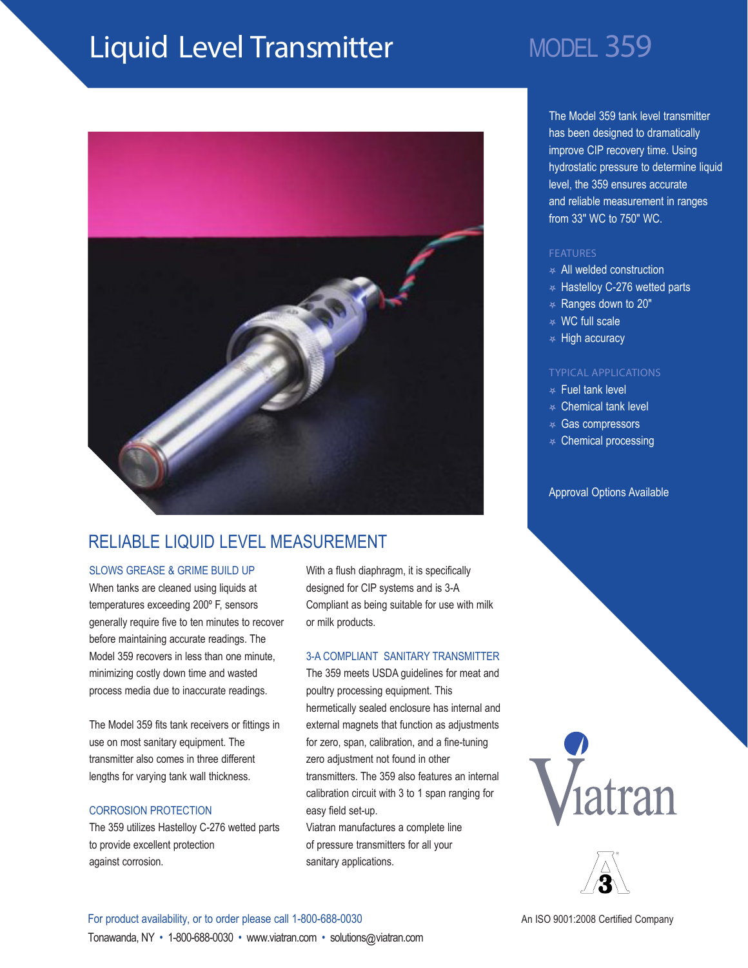# Liquid Level Transmitter MODEL 359



### RELIABLE LIQUID LEVEL MEASUREMENT

#### SLOWS GREASE & GRIME BUILD UP

When tanks are cleaned using liquids at temperatures exceeding 200º F, sensors generally require five to ten minutes to recover before maintaining accurate readings. The Model 359 recovers in less than one minute, minimizing costly down time and wasted process media due to inaccurate readings.

The Model 359 fits tank receivers or fittings in use on most sanitary equipment. The transmitter also comes in three different lengths for varying tank wall thickness.

#### CORROSION PROTECTION

The 359 utilizes Hastelloy C-276 wetted parts to provide excellent protection against corrosion.

With a flush diaphragm, it is specifically designed for CIP systems and is 3-A Compliant as being suitable for use with milk or milk products.

#### 3-A COMPLIANT SANITARY TRANSMITTER

The 359 meets USDA guidelines for meat and poultry processing equipment. This hermetically sealed enclosure has internal and external magnets that function as adjustments for zero, span, calibration, and a fine-tuning zero adjustment not found in other transmitters. The 359 also features an internal calibration circuit with 3 to 1 span ranging for easy field set-up.

Viatran manufactures a complete line of pressure transmitters for all your sanitary applications.

The Model 359 tank level transmitter has been designed to dramatically improve CIP recovery time. Using hydrostatic pressure to determine liquid level, the 359 ensures accurate and reliable measurement in ranges from 33" WC to 750" WC.

#### FEATURES

- $\ast$  All welded construction
- $*$  Hastelloy C-276 wetted parts
- $*$  Ranges down to 20"
- $\ast$  WC full scale
- $\ast$  High accuracy

#### TYPICAL APPLICATIONS

- $\ast$  Fuel tank level
- $\ast$  Chemical tank level
- \* Gas compressors
- $*$  Chemical processing

#### Approval Options Available





### For product availability, or to order please call 1-800-688-0030 Tonawanda, NY • 1-800-688-0030 • www.viatran.com • solutions@viatran.com

An ISO 9001:2008 Certified Company